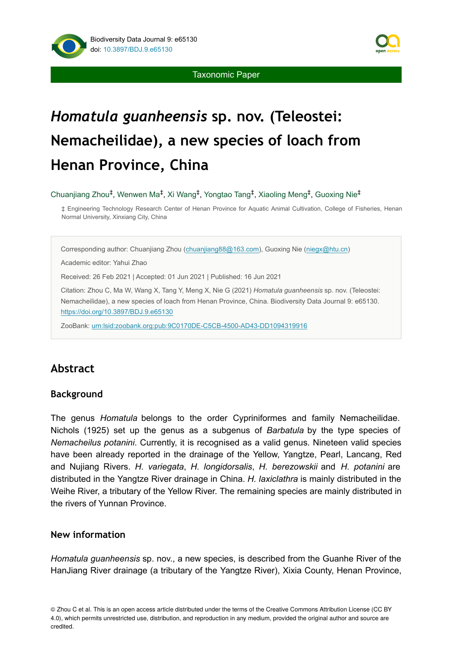

Taxonomic Paper

# *Homatula guanheensis* **sp. nov. (Teleostei: Nemacheilidae), a new species of loach from Henan Province, China**

Chuanjiang Zhou<sup>‡</sup>, Wenwen Ma<sup>‡</sup>, Xi Wang<sup>‡</sup>, Yongtao Tang<sup>‡</sup>, Xiaoling Meng<sup>‡</sup>, Guoxing Nie<sup>‡</sup>

‡ Engineering Technology Research Center of Henan Province for Aquatic Animal Cultivation, College of Fisheries, Henan Normal University, Xinxiang City, China

Corresponding author: Chuanjiang Zhou [\(chuanjiang88@163.com\)](mailto:chuanjiang88@163.com), Guoxing Nie ([niegx@htu.cn\)](mailto:niegx@htu.cn)

Academic editor: Yahui Zhao

Received: 26 Feb 2021 | Accepted: 01 Jun 2021 | Published: 16 Jun 2021

Citation: Zhou C, Ma W, Wang X, Tang Y, Meng X, Nie G (2021) *Homatula guanheensis* sp. nov. (Teleostei: Nemacheilidae), a new species of loach from Henan Province, China. Biodiversity Data Journal 9: e65130. <https://doi.org/10.3897/BDJ.9.e65130>

ZooBank: [urn:lsid:zoobank.org:pub:9C0170DE-C5CB-4500-AD43-DD1094319916](http://zoobank.org/9C0170DE-C5CB-4500-AD43-DD1094319916)

# **Abstract**

## **Background**

The genus *Homatula* belongs to the order Cypriniformes and family Nemacheilidae. Nichols (1925) set up the genus as a subgenus of *Barbatula* by the type species of *Nemacheilus potanini*. Currently, it is recognised as a valid genus. Nineteen valid species have been already reported in the drainage of the Yellow, Yangtze, Pearl, Lancang, Red and Nujiang Rivers. *H. variegata*, *H. longidorsalis*, *H. berezowskii* and *H. potanini* are distributed in the Yangtze River drainage in China. *H. laxiclathra* is mainly distributed in the Weihe River, a tributary of the Yellow River. The remaining species are mainly distributed in the rivers of Yunnan Province.

## **New information**

*Homatula guanheensis* sp. nov., a new species, is described from the Guanhe River of the HanJiang River drainage (a tributary of the Yangtze River), Xixia County, Henan Province,

© Zhou C et al. This is an open access article distributed under the terms of the Creative Commons Attribution License (CC BY 4.0), which permits unrestricted use, distribution, and reproduction in any medium, provided the original author and source are credited.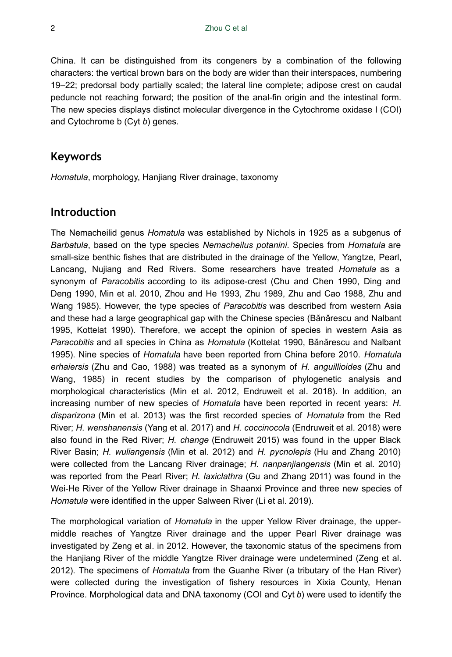China. It can be distinguished from its congeners by a combination of the following characters: the vertical brown bars on the body are wider than their interspaces, numbering 19–22; predorsal body partially scaled; the lateral line complete; adipose crest on caudal peduncle not reaching forward; the position of the anal-fin origin and the intestinal form. The new species displays distinct molecular divergence in the Cytochrome oxidase I (COI) and Cytochrome b (Cyt *b*) genes.

# **Keywords**

*Homatula*, morphology, Hanjiang River drainage, taxonomy

# **Introduction**

The Nemacheilid genus *Homatula* was established by Nichols in 1925 as a subgenus of *Barbatula*, based on the type species *Nemacheilus potanini*. Species from *Homatula* are small-size benthic fishes that are distributed in the drainage of the Yellow, Yangtze, Pearl, Lancang, Nujiang and Red Rivers. Some researchers have treated *Homatula* as a synonym of *Paracobitis* according to its adipose-crest (Chu and Chen 1990, Ding and Deng 1990, Min et al. 2010, Zhou and He 1993, Zhu 1989, Zhu and Cao 1988, Zhu and Wang 1985). However, the type species of *Paracobitis* was described from western Asia and these had a large geographical gap with the Chinese species (Bǎnǎrescu and Nalbant 1995, Kottelat 1990). Therefore, we accept the opinion of species in western Asia as *Paracobitis* and all species in China as *Homatula* (Kottelat 1990, Bǎnǎrescu and Nalbant 1995). Nine species of *Homatula* have been reported from China before 2010. *Homatula erhaiersis* (Zhu and Cao, 1988) was treated as a synonym of *H. anguillioides* (Zhu and Wang, 1985) in recent studies by the comparison of phylogenetic analysis and morphological characteristics (Min et al. 2012, Endruweit et al. 2018). In addition, an increasing number of new species of *Homatula* have been reported in recent years: *H. disparizona* (Min et al. 2013) was the first recorded species of *Homatula* from the Red River; *H. wenshanensis* (Yang et al. 2017) and *H. coccinocola* (Endruweit et al. 2018) were also found in the Red River; *H. change* (Endruweit 2015) was found in the upper Black River Basin; *H. wuliangensis* (Min et al. 2012) and *H. pycnolepis* (Hu and Zhang 2010) were collected from the Lancang River drainage; *H. nanpanjiangensis* (Min et al. 2010) was reported from the Pearl River; *H. laxiclathra* (Gu and Zhang 2011) was found in the Wei-He River of the Yellow River drainage in Shaanxi Province and three new species of *Homatula* were identified in the upper Salween River (Li et al. 2019).

The morphological variation of *Homatula* in the upper Yellow River drainage, the uppermiddle reaches of Yangtze River drainage and the upper Pearl River drainage was investigated by Zeng et al. in 2012. However, the taxonomic status of the specimens from the Hanjiang River of the middle Yangtze River drainage were undetermined (Zeng et al. 2012). The specimens of *Homatula* from the Guanhe River (a tributary of the Han River) were collected during the investigation of fishery resources in Xixia County, Henan Province. Morphological data and DNA taxonomy (COI and Cyt *b*) were used to identify the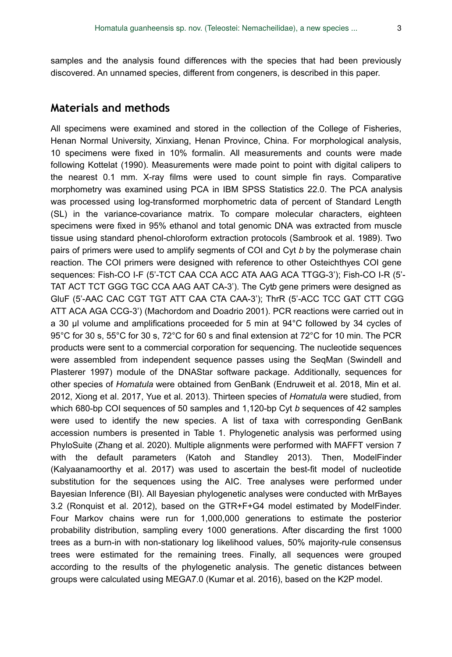## **Materials and methods**

All specimens were examined and stored in the collection of the College of Fisheries, Henan Normal University, Xinxiang, Henan Province, China. For morphological analysis, 10 specimens were fixed in 10% formalin. All measurements and counts were made following Kottelat (1990). Measurements were made point to point with digital calipers to the nearest 0.1 mm. X-ray films were used to count simple fin rays. Comparative morphometry was examined using PCA in IBM SPSS Statistics 22.0. The PCA analysis was processed using log-transformed morphometric data of percent of Standard Length (SL) in the variance-covariance matrix. To compare molecular characters, eighteen specimens were fixed in 95% ethanol and total genomic DNA was extracted from muscle tissue using standard phenol-chloroform extraction protocols (Sambrook et al. 1989). Two pairs of primers were used to amplify segments of COI and Cyt *b* by the polymerase chain reaction. The COI primers were designed with reference to other Osteichthyes COI gene sequences: Fish-CO I-F (5'-TCT CAA CCA ACC ATA AAG ACA TTGG-3'); Fish-CO I-R (5'- TAT ACT TCT GGG TGC CCA AAG AAT CA-3'). The Cytb gene primers were designed as GluF (5'-AAC CAC CGT TGT ATT CAA CTA CAA-3'); ThrR (5'-ACC TCC GAT CTT CGG ATT ACA AGA CCG-3') (Machordom and Doadrio 2001). PCR reactions were carried out in a 30 μl volume and amplifications proceeded for 5 min at 94°C followed by 34 cycles of 95°C for 30 s, 55°C for 30 s, 72°C for 60 s and final extension at 72°C for 10 min. The PCR products were sent to a commercial corporation for sequencing. The nucleotide sequences were assembled from independent sequence passes using the SeqMan (Swindell and Plasterer 1997) module of the DNAStar software package. Additionally, sequences for other species of *Homatula* were obtained from GenBank (Endruweit et al. 2018, Min et al. 2012, Xiong et al. 2017, Yue et al. 2013). Thirteen species of *Homatula* were studied, from which 680-bp COI sequences of 50 samples and 1,120-bp Cyt *b* sequences of 42 samples were used to identify the new species. A list of taxa with corresponding GenBank accession numbers is presented in Table 1. Phylogenetic analysis was performed using PhyloSuite (Zhang et al. 2020). Multiple alignments were performed with MAFFT version 7 with the default parameters (Katoh and Standley 2013). Then, ModelFinder (Kalyaanamoorthy et al. 2017) was used to ascertain the best-fit model of nucleotide substitution for the sequences using the AIC. Tree analyses were performed under Bayesian Inference (BI). All Bayesian phylogenetic analyses were conducted with MrBayes 3.2 (Ronquist et al. 2012), based on the GTR+F+G4 model estimated by ModelFinder. Four Markov chains were run for 1,000,000 generations to estimate the posterior probability distribution, sampling every 1000 generations. After discarding the first 1000 trees as a burn-in with non-stationary log likelihood values, 50% majority-rule consensus trees were estimated for the remaining trees. Finally, all sequences were grouped according to the results of the phylogenetic analysis. The genetic distances between groups were calculated using MEGA7.0 (Kumar et al. 2016), based on the K2P model.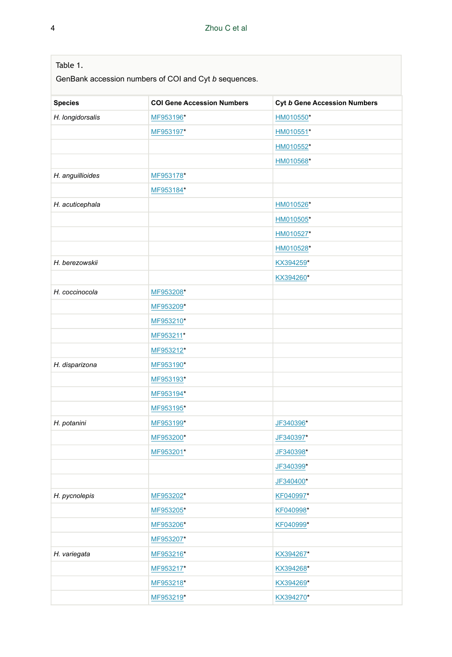| Table 1.         | GenBank accession numbers of COI and Cyt b sequences. |                              |
|------------------|-------------------------------------------------------|------------------------------|
| <b>Species</b>   | <b>COI Gene Accession Numbers</b>                     | Cyt b Gene Accession Numbers |
| H. longidorsalis | MF953196*                                             | HM010550*                    |
|                  | MF953197*                                             | HM010551*                    |
|                  |                                                       | HM010552*                    |
|                  |                                                       | HM010568*                    |
| H. anguillioides | MF953178*                                             |                              |
|                  | MF953184*                                             |                              |
| H. acuticephala  |                                                       | HM010526*                    |
|                  |                                                       | HM010505*                    |
|                  |                                                       | HM010527*                    |
|                  |                                                       | HM010528*                    |
| H. berezowskii   |                                                       | KX394259*                    |
|                  |                                                       | KX394260*                    |
| H. coccinocola   | MF953208*                                             |                              |
|                  | MF953209*                                             |                              |
|                  | MF953210*                                             |                              |
|                  | MF953211*                                             |                              |
|                  | MF953212*                                             |                              |
| H. disparizona   | MF953190*                                             |                              |
|                  | MF953193*                                             |                              |
|                  | MF953194*                                             |                              |
|                  | MF953195*                                             |                              |
| H. potanini      | MF953199*                                             | JF340396*                    |
|                  | MF953200*                                             | JF340397*                    |
|                  | MF953201*                                             | JF340398*                    |
|                  |                                                       | JF340399*                    |
|                  |                                                       | JF340400*                    |
| H. pycnolepis    | MF953202*                                             | KF040997*                    |
|                  | MF953205*                                             | KF040998*                    |
|                  | MF953206*                                             | KF040999*                    |
|                  | MF953207*                                             |                              |
| H. variegata     | MF953216*                                             | KX394267*                    |
|                  | MF953217*                                             | KX394268*                    |
|                  | MF953218*                                             | KX394269*                    |
|                  | MF953219*                                             | KX394270*                    |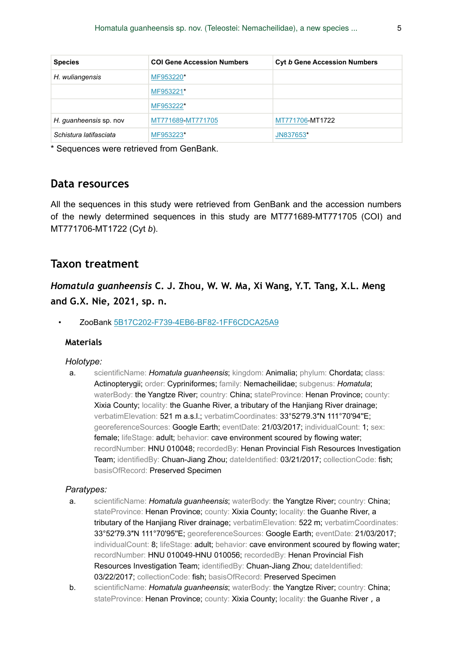| <b>Species</b>         | <b>COI Gene Accession Numbers</b> | <b>Cyt b Gene Accession Numbers</b> |
|------------------------|-----------------------------------|-------------------------------------|
| H. wuliangensis        | MF953220*                         |                                     |
|                        | MF953221*                         |                                     |
|                        | MF953222*                         |                                     |
| H. quanheensis sp. nov | MT771689-MT771705                 | MT771706-MT1722                     |
| Schistura latifasciata | MF953223*                         | JN837653*                           |

\* Sequences were retrieved from GenBank.

# **Data resources**

All the sequences in this study were retrieved from GenBank and the accession numbers of the newly determined sequences in this study are MT771689-MT771705 (COI) and MT771706-MT1722 (Cyt *b*).

# **Taxon treatment**

*Homatula guanheensis* **C. J. Zhou, W. W. Ma, Xi Wang, Y.T. Tang, X.L. Meng and G.X. Nie, 2021, sp. n.**

• ZooBank [5B17C202-F739-4EB6-BF82-1FF6CDCA25A9](http://zoobank.org/5B17C202-F739-4EB6-BF82-1FF6CDCA25A9)

### **Materials**

#### *Holotype:*

a. scientificName: *Homatula guanheensis*; kingdom: Animalia; phylum: Chordata; class: Actinopterygii; order: Cypriniformes; family: Nemacheilidae; subgenus: *Homatula*; waterBody: the Yangtze River; country: China; stateProvince: Henan Province; county: Xixia County; locality: the Guanhe River, a tributary of the Hanjiang River drainage; verbatimElevation: 521 m a.s.l.; verbatimCoordinates: 33°52′79.3″N 111°70′94″E; georeferenceSources: Google Earth; eventDate: 21/03/2017; individualCount: 1; sex: female; lifeStage: adult; behavior: cave environment scoured by flowing water; recordNumber: HNU 010048; recordedBy: Henan Provincial Fish Resources Investigation Team; identifiedBy: Chuan-Jiang Zhou; dateIdentified: 03/21/2017; collectionCode: fish; basisOfRecord: Preserved Specimen

#### *Paratypes:*

- a. scientificName: *Homatula guanheensis*; waterBody: the Yangtze River; country: China; stateProvince: Henan Province; county: Xixia County; locality: the Guanhe River, a tributary of the Hanijang River drainage: verbatimElevation: 522 m: verbatimCoordinates: 33°52′79.3″N 111°70'95''E; georeferenceSources: Google Earth; eventDate: 21/03/2017; individualCount: 8; lifeStage: adult; behavior: cave environment scoured by flowing water; recordNumber: HNU 010049-HNU 010056; recordedBy: Henan Provincial Fish Resources Investigation Team; identifiedBy: Chuan-Jiang Zhou; dateIdentified: 03/22/2017; collectionCode: fish; basisOfRecord: Preserved Specimen
- b. scientificName: *Homatula guanheensis*; waterBody: the Yangtze River; country: China; stateProvince: Henan Province; county: Xixia County; locality: the Guanhe River, a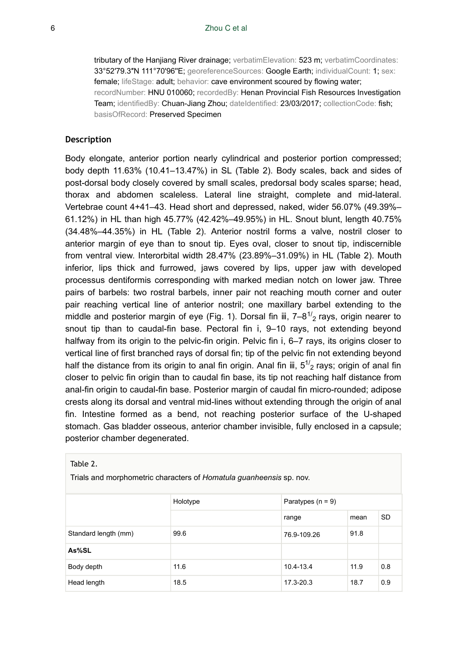tributary of the Hanjiang River drainage; verbatimElevation: 523 m; verbatimCoordinates: 33°52′79.3″N 111°70'96''E; georeferenceSources: Google Earth; individualCount: 1; sex: female; lifeStage: adult; behavior: cave environment scoured by flowing water; recordNumber: HNU 010060; recordedBy: Henan Provincial Fish Resources Investigation Team; identifiedBy: Chuan-Jiang Zhou; dateIdentified: 23/03/2017; collectionCode: fish; basisOfRecord: Preserved Specimen

#### **Description**

Body elongate, anterior portion nearly cylindrical and posterior portion compressed; body depth 11.63% (10.41–13.47%) in SL (Table 2). Body scales, back and sides of post-dorsal body closely covered by small scales, predorsal body scales sparse; head, thorax and abdomen scaleless. Lateral line straight, complete and mid-lateral. Vertebrae count 4+41–43. Head short and depressed, naked, wider 56.07% (49.39%– 61.12%) in HL than high 45.77% (42.42%–49.95%) in HL. Snout blunt, length 40.75% (34.48%–44.35%) in HL (Table 2). Anterior nostril forms a valve, nostril closer to anterior margin of eye than to snout tip. Eyes oval, closer to snout tip, indiscernible from ventral view. Interorbital width 28.47% (23.89%–31.09%) in HL (Table 2). Mouth inferior, lips thick and furrowed, jaws covered by lips, upper jaw with developed processus dentiformis corresponding with marked median notch on lower jaw. Three pairs of barbels: two rostral barbels, inner pair not reaching mouth corner and outer pair reaching vertical line of anterior nostril; one maxillary barbel extending to the middle and posterior margin of eye (Fig. 1). Dorsal fin iii,  $7-8^{1/2}$  rays, origin nearer to snout tip than to caudal-fin base. Pectoral fin i, 9–10 rays, not extending beyond halfway from its origin to the pelvic-fin origin. Pelvic fin i, 6–7 rays, its origins closer to vertical line of first branched rays of dorsal fin; tip of the pelvic fin not extending beyond half the distance from its origin to anal fin origin. Anal fin iii,  $5^{1/2}$  rays; origin of anal fin closer to pelvic fin origin than to caudal fin base, its tip not reaching half distance from anal-fin origin to caudal-fin base. Posterior margin of caudal fin micro-rounded; adipose crests along its dorsal and ventral mid-lines without extending through the origin of anal fin. Intestine formed as a bend, not reaching posterior surface of the U-shaped stomach. Gas bladder osseous, anterior chamber invisible, fully enclosed in a capsule; posterior chamber degenerated.

| Table 2.                                                            |          |                     |      |           |  |  |  |  |  |  |
|---------------------------------------------------------------------|----------|---------------------|------|-----------|--|--|--|--|--|--|
| Trials and morphometric characters of Homatula guanheensis sp. nov. |          |                     |      |           |  |  |  |  |  |  |
|                                                                     | Holotype | Paratypes $(n = 9)$ |      |           |  |  |  |  |  |  |
|                                                                     |          | range               | mean | <b>SD</b> |  |  |  |  |  |  |
| Standard length (mm)                                                | 99.6     | 76.9-109.26         | 91.8 |           |  |  |  |  |  |  |
| As%SL                                                               |          |                     |      |           |  |  |  |  |  |  |
| Body depth                                                          | 11.6     | 10.4-13.4           | 11.9 | 0.8       |  |  |  |  |  |  |
| Head length                                                         | 18.5     | 17.3-20.3           | 18.7 | 0.9       |  |  |  |  |  |  |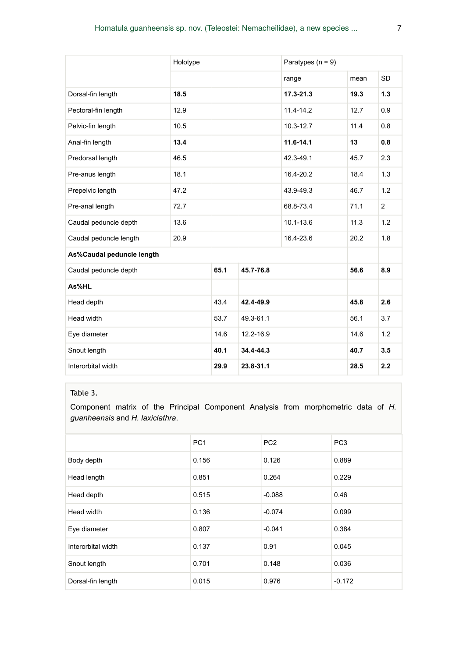|                            | Holotype |      |           | Paratypes $(n = 9)$ |      |                |  |
|----------------------------|----------|------|-----------|---------------------|------|----------------|--|
|                            |          |      |           | range               | mean | <b>SD</b>      |  |
| Dorsal-fin length          | 18.5     |      |           | 17.3-21.3           | 19.3 | 1.3            |  |
| Pectoral-fin length        | 12.9     |      |           | $11.4 - 14.2$       | 12.7 | 0.9            |  |
| Pelvic-fin length          | 10.5     |      |           | 10.3-12.7           | 11.4 | 0.8            |  |
| Anal-fin length            | 13.4     |      |           | $11.6 - 14.1$       | 13   | 0.8            |  |
| Predorsal length           | 46.5     |      |           | 42.3-49.1           | 45.7 | 2.3            |  |
| Pre-anus length            | 18.1     |      |           | 16.4-20.2           | 18.4 | 1.3            |  |
| Prepelvic length           | 47.2     |      |           | 43.9-49.3           | 46.7 | 1.2            |  |
| Pre-anal length            | 72.7     |      |           | 68.8-73.4           | 71.1 | $\overline{2}$ |  |
| Caudal peduncle depth      | 13.6     |      |           | 10.1-13.6           | 11.3 | 1.2            |  |
| Caudal peduncle length     | 20.9     |      |           | 16.4-23.6           | 20.2 | 1.8            |  |
| As%Caudal peduncle length  |          |      |           |                     |      |                |  |
| Caudal peduncle depth      |          | 65.1 | 45.7-76.8 |                     | 56.6 | 8.9            |  |
| As%HL                      |          |      |           |                     |      |                |  |
| Head depth                 |          | 43.4 | 42.4-49.9 |                     | 45.8 | 2.6            |  |
| Head width                 |          |      | 49.3-61.1 |                     | 56.1 | 3.7            |  |
| Eye diameter               |          |      | 12.2-16.9 |                     | 14.6 | 1.2            |  |
| Snout length               |          | 40.1 | 34.4-44.3 |                     | 40.7 | 3.5            |  |
| Interorbital width<br>29.9 |          |      | 23.8-31.1 | 28.5                | 2.2  |                |  |

## Table 3.

Component matrix of the Principal Component Analysis from morphometric data of *H. guanheensis* and *H. laxiclathra*.

|                    | PC <sub>1</sub> | PC <sub>2</sub> | PC <sub>3</sub> |
|--------------------|-----------------|-----------------|-----------------|
| Body depth         | 0.156           | 0.126           | 0.889           |
| Head length        | 0.851           | 0.264           | 0.229           |
| Head depth         | 0.515           | $-0.088$        | 0.46            |
| Head width         | 0.136           | $-0.074$        | 0.099           |
| Eye diameter       | 0.807           | $-0.041$        | 0.384           |
| Interorbital width | 0.137           | 0.91            | 0.045           |
| Snout length       | 0.701           | 0.148           | 0.036           |
| Dorsal-fin length  | 0.015           | 0.976           | $-0.172$        |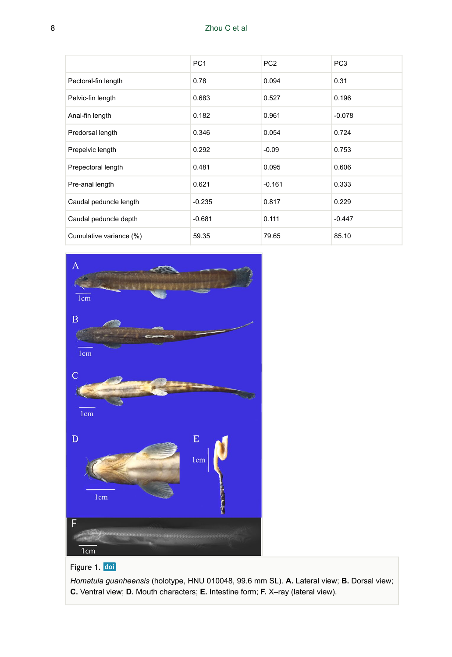## 8 Zhou C et al

|                         | PC <sub>1</sub> | PC <sub>2</sub> | PC <sub>3</sub> |
|-------------------------|-----------------|-----------------|-----------------|
| Pectoral-fin length     | 0.78            | 0.094           | 0.31            |
| Pelvic-fin length       | 0.683           | 0.527           | 0.196           |
| Anal-fin length         | 0.182           | 0.961           | $-0.078$        |
| Predorsal length        | 0.346           | 0.054           | 0.724           |
| Prepelvic length        | 0.292           | $-0.09$         | 0.753           |
| Prepectoral length      | 0.481           | 0.095           | 0.606           |
| Pre-anal length         | 0.621           | $-0.161$        | 0.333           |
| Caudal peduncle length  | $-0.235$        | 0.817           | 0.229           |
| Caudal peduncle depth   | $-0.681$        | 0.111           | $-0.447$        |
| Cumulative variance (%) | 59.35           | 79.65           | 85.10           |



# Figure 1. doi

*Homatula guanheensis* (holotype, HNU 010048, 99.6 mm SL). **A.** Lateral view; **B.** Dorsal view; **C.** Ventral view; **D.** Mouth characters; **E.** Intestine form; **F.** X–ray (lateral view).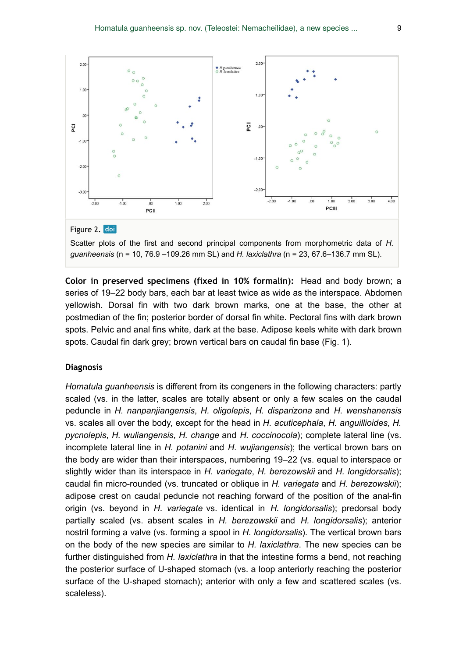

**Color in preserved specimens (fixed in 10% formalin):** Head and body brown; a series of 19–22 body bars, each bar at least twice as wide as the interspace. Abdomen yellowish. Dorsal fin with two dark brown marks, one at the base, the other at postmedian of the fin; posterior border of dorsal fin white. Pectoral fins with dark brown spots. Pelvic and anal fins white, dark at the base. Adipose keels white with dark brown spots. Caudal fin dark grey; brown vertical bars on caudal fin base (Fig. 1).

#### **Diagnosis**

*Homatula guanheensis* is different from its congeners in the following characters: partly scaled (vs. in the latter, scales are totally absent or only a few scales on the caudal peduncle in *H. nanpanjiangensis*, *H. oligolepis*, *H. disparizona* and *H. wenshanensis* vs. scales all over the body, except for the head in *H. acuticephala*, *H. anguillioides*, *H. pycnolepis*, *H. wuliangensis*, *H. change* and *H. coccinocola*); complete lateral line (vs. incomplete lateral line in *H. potanini* and *H. wujiangensis*); the vertical brown bars on the body are wider than their interspaces, numbering 19–22 (vs. equal to interspace or slightly wider than its interspace in *H. variegate*, *H. berezowskii* and *H. longidorsalis*); caudal fin micro-rounded (vs. truncated or oblique in *H. variegata* and *H. berezowskii*); adipose crest on caudal peduncle not reaching forward of the position of the anal-fin origin (vs. beyond in *H. variegate* vs. identical in *H. longidorsalis*); predorsal body partially scaled (vs. absent scales in *H. berezowskii* and *H. longidorsalis*); anterior nostril forming a valve (vs. forming a spool in *H. longidorsalis*). The vertical brown bars on the body of the new species are similar to *H. laxiclathra*. The new species can be further distinguished from *H. laxiclathra* in that the intestine forms a bend, not reaching the posterior surface of U-shaped stomach (vs. a loop anteriorly reaching the posterior surface of the U-shaped stomach); anterior with only a few and scattered scales (vs. scaleless).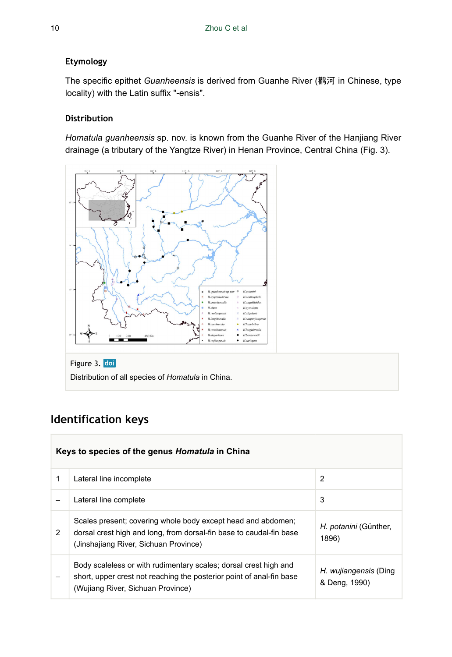## **Etymology**

The specific epithet *Guanheensis* is derived from Guanhe River (鹳河 in Chinese, type locality) with the Latin suffix "-ensis".

## **Distribution**

*Homatula guanheensis* sp. nov. is known from the Guanhe River of the Hanjiang River drainage (a tributary of the Yangtze River) in Henan Province, Central China (Fig. 3).



Figure 3. doi Distribution of all species of *Homatula* in China.

# **Identification keys**

|   | Keys to species of the genus Homatula in China                                                                                                                                |                                        |  |  |  |  |  |  |  |  |
|---|-------------------------------------------------------------------------------------------------------------------------------------------------------------------------------|----------------------------------------|--|--|--|--|--|--|--|--|
| 1 | Lateral line incomplete                                                                                                                                                       | 2                                      |  |  |  |  |  |  |  |  |
|   | Lateral line complete                                                                                                                                                         | 3                                      |  |  |  |  |  |  |  |  |
| 2 | Scales present; covering whole body except head and abdomen;<br>dorsal crest high and long, from dorsal-fin base to caudal-fin base<br>(Jinshajiang River, Sichuan Province)  | H. <i>potanini</i> (Günther,<br>1896)  |  |  |  |  |  |  |  |  |
|   | Body scaleless or with rudimentary scales; dorsal crest high and<br>short, upper crest not reaching the posterior point of anal-fin base<br>(Wujiang River, Sichuan Province) | H. wujiangensis (Ding<br>& Deng, 1990) |  |  |  |  |  |  |  |  |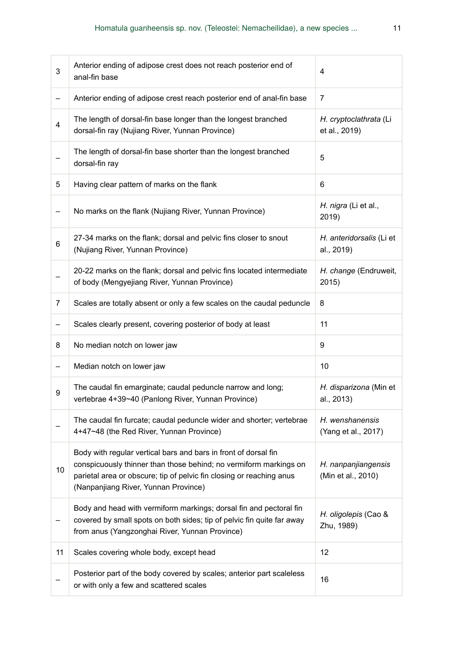| 3  | Anterior ending of adipose crest does not reach posterior end of<br>anal-fin base                                                                                                                                                                    | 4                                         |
|----|------------------------------------------------------------------------------------------------------------------------------------------------------------------------------------------------------------------------------------------------------|-------------------------------------------|
| -  | Anterior ending of adipose crest reach posterior end of anal-fin base                                                                                                                                                                                | 7                                         |
| 4  | The length of dorsal-fin base longer than the longest branched<br>dorsal-fin ray (Nujiang River, Yunnan Province)                                                                                                                                    | H. cryptoclathrata (Li<br>et al., 2019)   |
|    | The length of dorsal-fin base shorter than the longest branched<br>dorsal-fin ray                                                                                                                                                                    | 5                                         |
| 5  | Having clear pattern of marks on the flank                                                                                                                                                                                                           | 6                                         |
| -  | No marks on the flank (Nujiang River, Yunnan Province)                                                                                                                                                                                               | H. nigra (Li et al.,<br>2019)             |
| 6  | 27-34 marks on the flank; dorsal and pelvic fins closer to snout<br>(Nujiang River, Yunnan Province)                                                                                                                                                 | H. anteridorsalis (Li et<br>al., 2019)    |
|    | 20-22 marks on the flank; dorsal and pelvic fins located intermediate<br>of body (Mengyejiang River, Yunnan Province)                                                                                                                                | H. change (Endruweit,<br>2015)            |
| 7  | Scales are totally absent or only a few scales on the caudal peduncle                                                                                                                                                                                | 8                                         |
| -  | Scales clearly present, covering posterior of body at least                                                                                                                                                                                          | 11                                        |
| 8  | No median notch on lower jaw                                                                                                                                                                                                                         | 9                                         |
| -  | Median notch on lower jaw                                                                                                                                                                                                                            | 10                                        |
| 9  | The caudal fin emarginate; caudal peduncle narrow and long;<br>vertebrae 4+39~40 (Panlong River, Yunnan Province)                                                                                                                                    | H. disparizona (Min et<br>al., 2013)      |
|    | The caudal fin furcate; caudal peduncle wider and shorter; vertebrae<br>4+47~48 (the Red River, Yunnan Province)                                                                                                                                     | H. wenshanensis<br>(Yang et al., 2017)    |
| 10 | Body with regular vertical bars and bars in front of dorsal fin<br>conspicuously thinner than those behind; no vermiform markings on<br>parietal area or obscure; tip of pelvic fin closing or reaching anus<br>(Nanpanjiang River, Yunnan Province) | H. nanpanjiangensis<br>(Min et al., 2010) |
|    | Body and head with vermiform markings; dorsal fin and pectoral fin<br>covered by small spots on both sides; tip of pelvic fin quite far away<br>from anus (Yangzonghai River, Yunnan Province)                                                       | H. oligolepis (Cao &<br>Zhu, 1989)        |
| 11 | Scales covering whole body, except head                                                                                                                                                                                                              | 12                                        |
|    | Posterior part of the body covered by scales; anterior part scaleless<br>or with only a few and scattered scales                                                                                                                                     | 16                                        |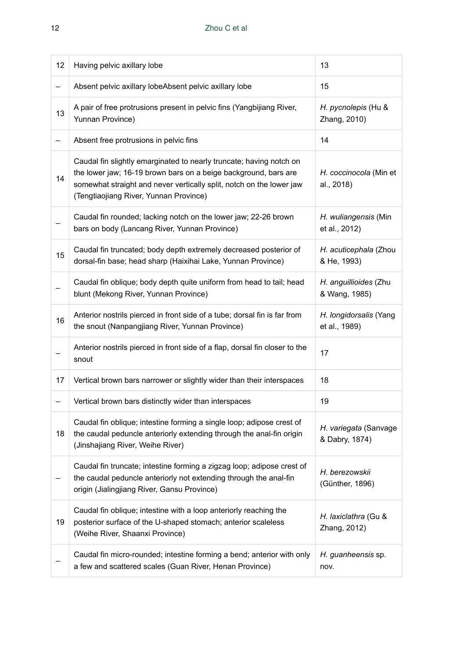| 12 | Having pelvic axillary lobe                                                                                                                                                                                                                              | 13                                      |
|----|----------------------------------------------------------------------------------------------------------------------------------------------------------------------------------------------------------------------------------------------------------|-----------------------------------------|
| -  | Absent pelvic axillary lobeAbsent pelvic axillary lobe                                                                                                                                                                                                   | 15                                      |
| 13 | A pair of free protrusions present in pelvic fins (Yangbijiang River,<br>Yunnan Province)                                                                                                                                                                | H. pycnolepis (Hu &<br>Zhang, 2010)     |
| -  | Absent free protrusions in pelvic fins                                                                                                                                                                                                                   | 14                                      |
| 14 | Caudal fin slightly emarginated to nearly truncate; having notch on<br>the lower jaw; 16-19 brown bars on a beige background, bars are<br>somewhat straight and never vertically split, notch on the lower jaw<br>(Tengtiaojiang River, Yunnan Province) | H. coccinocola (Min et<br>al., 2018)    |
|    | Caudal fin rounded; lacking notch on the lower jaw; 22-26 brown<br>bars on body (Lancang River, Yunnan Province)                                                                                                                                         | H. wuliangensis (Min<br>et al., 2012)   |
| 15 | Caudal fin truncated; body depth extremely decreased posterior of<br>dorsal-fin base; head sharp (Haixihai Lake, Yunnan Province)                                                                                                                        | H. acuticephala (Zhou<br>& He, 1993)    |
|    | Caudal fin oblique; body depth quite uniform from head to tail; head<br>blunt (Mekong River, Yunnan Province)                                                                                                                                            | H. anguillioides (Zhu<br>& Wang, 1985)  |
| 16 | Anterior nostrils pierced in front side of a tube; dorsal fin is far from<br>the snout (Nanpangjiang River, Yunnan Province)                                                                                                                             | H. longidorsalis (Yang<br>et al., 1989) |
|    | Anterior nostrils pierced in front side of a flap, dorsal fin closer to the<br>snout                                                                                                                                                                     | 17                                      |
| 17 | Vertical brown bars narrower or slightly wider than their interspaces                                                                                                                                                                                    | 18                                      |
| -  | Vertical brown bars distinctly wider than interspaces                                                                                                                                                                                                    | 19                                      |
| 18 | Caudal fin oblique; intestine forming a single loop; adipose crest of<br>the caudal peduncle anteriorly extending through the anal-fin origin<br>(Jinshajiang River, Weihe River)                                                                        | H. variegata (Sanvage<br>& Dabry, 1874) |
|    | Caudal fin truncate; intestine forming a zigzag loop; adipose crest of<br>the caudal peduncle anteriorly not extending through the anal-fin<br>origin (Jialingjiang River, Gansu Province)                                                               | H. berezowskii<br>(Günther, 1896)       |
| 19 | Caudal fin oblique; intestine with a loop anteriorly reaching the<br>posterior surface of the U-shaped stomach; anterior scaleless<br>(Weihe River, Shaanxi Province)                                                                                    | H. laxiclathra (Gu &<br>Zhang, 2012)    |
|    | Caudal fin micro-rounded; intestine forming a bend; anterior with only<br>a few and scattered scales (Guan River, Henan Province)                                                                                                                        | H. guanheensis sp.<br>nov.              |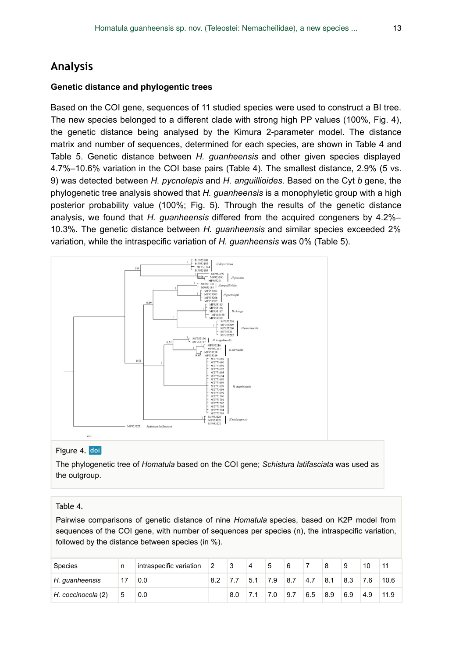# **Analysis**

#### **Genetic distance and phylogentic trees**

Based on the COI gene, sequences of 11 studied species were used to construct a BI tree. The new species belonged to a different clade with strong high PP values (100%, Fig. 4), the genetic distance being analysed by the Kimura 2-parameter model. The distance matrix and number of sequences, determined for each species, are shown in Table 4 and Table 5. Genetic distance between *H. guanheensis* and other given species displayed 4.7%–10.6% variation in the COI base pairs (Table 4). The smallest distance, 2.9% (5 vs. 9) was detected between *H. pycnolepis* and *H. anguillioides*. Based on the Cyt *b* gene, the phylogenetic tree analysis showed that *H. guanheensis* is a monophyletic group with a high posterior probability value (100%; Fig. 5). Through the results of the genetic distance analysis, we found that *H. guanheensis* differed from the acquired congeners by 4.2%– 10.3%. The genetic distance between *H. guanheensis* and similar species exceeded 2% variation, while the intraspecific variation of *H. guanheensis* was 0% (Table 5).



#### Figure 4. doi

The phylogenetic tree of *Homatula* based on the COI gene; *Schistura latifasciata* was used as the outgroup.

#### Table 4.

Pairwise comparisons of genetic distance of nine *Homatula* species, based on K2P model from sequences of the COI gene, with number of sequences per species (n), the intraspecific variation, followed by the distance between species (in %).

| Species            | n | intraspecific variation | $\vert$ 2 | $\vert 3 \vert$ | 4   | 5    | 6         |     |     | 9   |     |      |
|--------------------|---|-------------------------|-----------|-----------------|-----|------|-----------|-----|-----|-----|-----|------|
| H. guanheensis     |   | 0.0                     |           |                 | 5.1 | 17.9 | $8.7$ 4.7 |     | 8.1 | 8.3 | 7.6 | 10.6 |
| H. coccinocola (2) | 5 | 0.0                     |           |                 |     | 7.0  | 9.7       | 6.5 | 8.9 | 6.9 | 4.9 | 11.9 |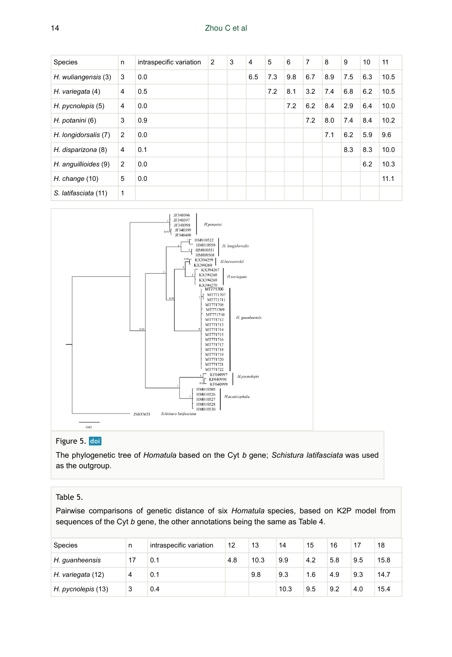| <b>Species</b>       | n | intraspecific variation | 2 | 3 | $\overline{4}$ | 5   | 6   | $\overline{7}$ | 8   | 9   | 10  | 11   |
|----------------------|---|-------------------------|---|---|----------------|-----|-----|----------------|-----|-----|-----|------|
| H. wuliangensis (3)  | 3 | 0.0                     |   |   | 6.5            | 7.3 | 9.8 | 6.7            | 8.9 | 7.5 | 6.3 | 10.5 |
| H. variegata (4)     | 4 | 0.5                     |   |   |                | 7.2 | 8.1 | 3.2            | 7.4 | 6.8 | 6.2 | 10.5 |
| H. pycnolepis (5)    | 4 | 0.0                     |   |   |                |     | 7.2 | 6.2            | 8.4 | 2.9 | 6.4 | 10.0 |
| H. potanini (6)      | 3 | 0.9                     |   |   |                |     |     | 7.2            | 8.0 | 7.4 | 8.4 | 10.2 |
| H. longidorsalis (7) | 2 | 0.0                     |   |   |                |     |     |                | 7.1 | 6.2 | 5.9 | 9.6  |
| H. disparizona (8)   | 4 | 0.1                     |   |   |                |     |     |                |     | 8.3 | 8.3 | 10.0 |
| H. anguillioides (9) | 2 | 0.0                     |   |   |                |     |     |                |     |     | 6.2 | 10.3 |
| $H.$ change $(10)$   | 5 | 0.0                     |   |   |                |     |     |                |     |     |     | 11.1 |
| S. latifasciata (11) | 1 |                         |   |   |                |     |     |                |     |     |     |      |



## Figure 5. doi

The phylogenetic tree of *Homatula* based on the Cyt *b* gene; *Schistura latifasciata* was used as the outgroup.

### Table 5.

Pairwise comparisons of genetic distance of six *Homatula* species, based on K2P model from sequences of the Cyt *b* gene, the other annotations being the same as Table 4.

| Species            | n  | intraspecific variation | 12  | 13   | 14   | 15  | 16  | 17  | 18   |
|--------------------|----|-------------------------|-----|------|------|-----|-----|-----|------|
| H. quanheensis     | 17 | 0.1                     | 4.8 | 10.3 | 9.9  | 4.2 | 5.8 | 9.5 | 15.8 |
| H. variegata (12)  | 4  | 0.1                     |     | 9.8  | 9.3  | 1.6 | 4.9 | 9.3 | 14.7 |
| H. pycnolepis (13) | 3  | 0.4                     |     |      | 10.3 | 9.5 | 9.2 | 4.0 | 15.4 |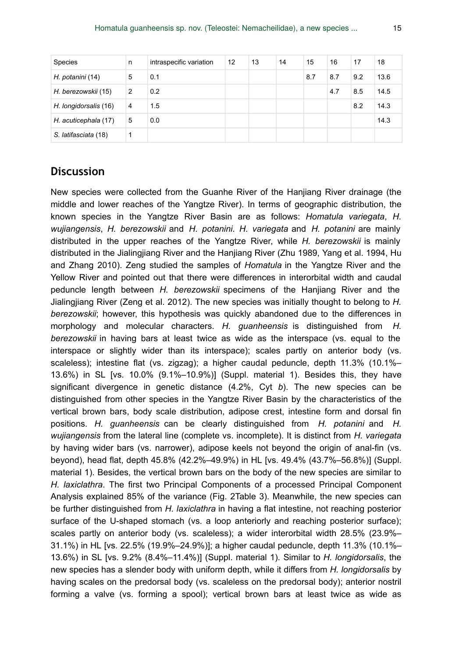| Species               | n | intraspecific variation | 12 | 13 | 14 | 15  | 16  | 17  | 18   |
|-----------------------|---|-------------------------|----|----|----|-----|-----|-----|------|
| H. potanini (14)      | 5 | 0.1                     |    |    |    | 8.7 | 8.7 | 9.2 | 13.6 |
| H. berezowskii (15)   | 2 | 0.2                     |    |    |    |     | 4.7 | 8.5 | 14.5 |
| H. longidorsalis (16) | 4 | 1.5                     |    |    |    |     |     | 8.2 | 14.3 |
| H. acuticephala (17)  | 5 | 0.0                     |    |    |    |     |     |     | 14.3 |
| S. latifasciata (18)  |   |                         |    |    |    |     |     |     |      |

# **Discussion**

New species were collected from the Guanhe River of the Hanjiang River drainage (the middle and lower reaches of the Yangtze River). In terms of geographic distribution, the known species in the Yangtze River Basin are as follows: *Homatula variegata*, *H. wujiangensis*, *H. berezowskii* and *H. potanini*. *H. variegata* and *H. potanini* are mainly distributed in the upper reaches of the Yangtze River, while *H. berezowskii* is mainly distributed in the Jialingjiang River and the Hanjiang River (Zhu 1989, Yang et al. 1994, Hu and Zhang 2010). Zeng studied the samples of *Homatula* in the Yangtze River and the Yellow River and pointed out that there were differences in interorbital width and caudal peduncle length between *H. berezowskii* specimens of the Hanjiang River and the Jialingjiang River (Zeng et al. 2012). The new species was initially thought to belong to *H. berezowskii*; however, this hypothesis was quickly abandoned due to the differences in morphology and molecular characters. *H. guanheensis* is distinguished from *H. berezowskii* in having bars at least twice as wide as the interspace (vs. equal to the interspace or slightly wider than its interspace); scales partly on anterior body (vs. scaleless); intestine flat (vs. zigzag); a higher caudal peduncle, depth 11.3% (10.1%– 13.6%) in SL [vs. 10.0% (9.1%–10.9%)] (Suppl. material 1). Besides this, they have significant divergence in genetic distance (4.2%, Cyt *b*). The new species can be distinguished from other species in the Yangtze River Basin by the characteristics of the vertical brown bars, body scale distribution, adipose crest, intestine form and dorsal fin positions. *H. guanheensis* can be clearly distinguished from *H. potanini* and *H. wujiangensis* from the lateral line (complete vs. incomplete). It is distinct from *H. variegata* by having wider bars (vs. narrower), adipose keels not beyond the origin of anal-fin (vs. beyond), head flat, depth 45.8% (42.2%–49.9%) in HL [vs. 49.4% (43.7%–56.8%)] (Suppl. material 1). Besides, the vertical brown bars on the body of the new species are similar to *H. laxiclathra*. The first two Principal Components of a processed Principal Component Analysis explained 85% of the variance (Fig. 2Table 3). Meanwhile, the new species can be further distinguished from *H. laxiclathra* in having a flat intestine, not reaching posterior surface of the U-shaped stomach (vs. a loop anteriorly and reaching posterior surface); scales partly on anterior body (vs. scaleless); a wider interorbital width 28.5% (23.9%– 31.1%) in HL [vs. 22.5% (19.9%–24.9%)]; a higher caudal peduncle, depth 11.3% (10.1%– 13.6%) in SL [vs. 9.2% (8.4%–11.4%)] (Suppl. material 1). Similar to *H. longidorsalis*, the new species has a slender body with uniform depth, while it differs from *H. longidorsalis* by having scales on the predorsal body (vs. scaleless on the predorsal body); anterior nostril forming a valve (vs. forming a spool); vertical brown bars at least twice as wide as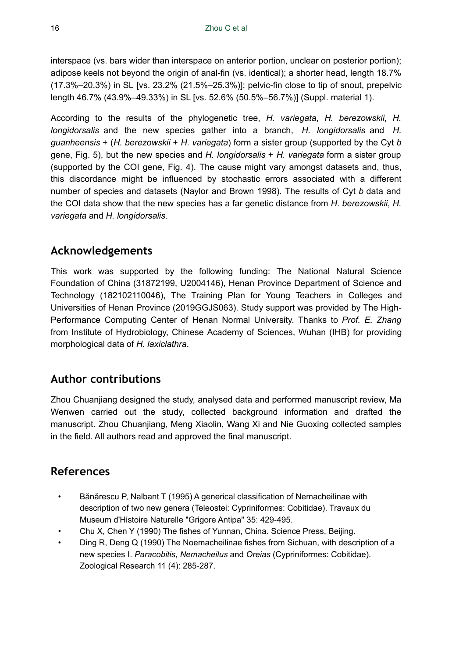interspace (vs. bars wider than interspace on anterior portion, unclear on posterior portion); adipose keels not beyond the origin of anal-fin (vs. identical); a shorter head, length 18.7% (17.3%–20.3%) in SL [vs. 23.2% (21.5%–25.3%)]; pelvic-fin close to tip of snout, prepelvic length 46.7% (43.9%–49.33%) in SL [vs. 52.6% (50.5%–56.7%)] (Suppl. material 1).

According to the results of the phylogenetic tree, *H. variegata*, *H. berezowskii*, *H. longidorsalis* and the new species gather into a branch, *H. longidorsalis* and *H. guanheensis* + (*H. berezowskii* + *H. variegata*) form a sister group (supported by the Cyt *b* gene, Fig. 5), but the new species and *H. longidorsalis* + *H. variegata* form a sister group (supported by the COI gene, Fig. 4). The cause might vary amongst datasets and, thus, this discordance might be influenced by stochastic errors associated with a different number of species and datasets (Naylor and Brown 1998). The results of Cyt *b* data and the COI data show that the new species has a far genetic distance from *H. berezowskii*, *H. variegata* and *H. longidorsalis*.

# **Acknowledgements**

This work was supported by the following funding: The National Natural Science Foundation of China (31872199, U2004146), Henan Province Department of Science and Technology (182102110046), The Training Plan for Young Teachers in Colleges and Universities of Henan Province (2019GGJS063). Study support was provided by The High-Performance Computing Center of Henan Normal University. Thanks to *Prof. E. Zhang* from Institute of Hydrobiology, Chinese Academy of Sciences, Wuhan (IHB) for providing morphological data of *H. laxiclathra*.

# **Author contributions**

Zhou Chuanjiang designed the study, analysed data and performed manuscript review, Ma Wenwen carried out the study, collected background information and drafted the manuscript. Zhou Chuanjiang, Meng Xiaolin, Wang Xi and Nie Guoxing collected samples in the field. All authors read and approved the final manuscript.

# **References**

- Bǎnǎrescu P, Nalbant T (1995) A generical classification of Nemacheilinae with description of two new genera (Teleostei: Cypriniformes: Cobitidae). Travaux du Museum d'Histoire Naturelle "Grigore Antipa" 35: 429‑495.
- Chu X, Chen Y (1990) The fishes of Yunnan, China. Science Press, Beijing.
- Ding R, Deng Q (1990) The Noemacheilinae fishes from Sichuan, with description of a new species Ⅰ. *Paracobitis*, *Nemacheilus* and *Oreias* (Cypriniformes: Cobitidae). Zoological Research 11 (4): 285-287.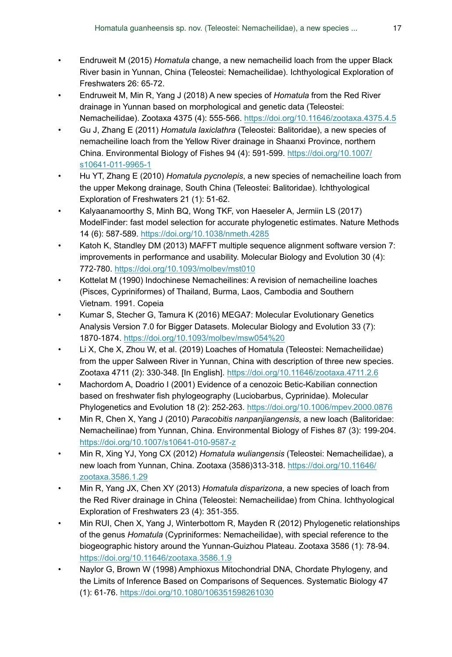- Endruweit M (2015) *Homatula* change, a new nemacheilid loach from the upper Black River basin in Yunnan, China (Teleostei: Nemacheilidae). Ichthyological Exploration of Freshwaters 26: 65‑72.
- Endruweit M, Min R, Yang J (2018) A new species of *Homatula* from the Red River drainage in Yunnan based on morphological and genetic data (Teleostei: Nemacheilidae). Zootaxa 4375 (4): 555‑566. <https://doi.org/10.11646/zootaxa.4375.4.5>
- Gu J, Zhang E (2011) *Homatula laxiclathra* (Teleostei: Balitoridae), a new species of nemacheiline loach from the Yellow River drainage in Shaanxi Province, northern China. Environmental Biology of Fishes 94 (4): 591‑599. [https://doi.org/10.1007/](https://doi.org/10.1007/s10641-011-9965-1) [s10641-011-9965-1](https://doi.org/10.1007/s10641-011-9965-1)
- Hu YT, Zhang E (2010) *Homatula pycnolepis*, a new species of nemacheiline loach from the upper Mekong drainage, South China (Teleostei: Balitoridae). Ichthyological Exploration of Freshwaters 21 (1): 51‑62.
- Kalyaanamoorthy S, Minh BQ, Wong TKF, von Haeseler A, Jermiin LS (2017) ModelFinder: fast model selection for accurate phylogenetic estimates. Nature Methods 14 (6): 587‑589. <https://doi.org/10.1038/nmeth.4285>
- Katoh K, Standley DM (2013) MAFFT multiple sequence alignment software version 7: improvements in performance and usability. Molecular Biology and Evolution 30 (4): 772‑780. <https://doi.org/10.1093/molbev/mst010>
- Kottelat M (1990) Indochinese Nemacheilines: A revision of nemacheiline loaches (Pisces, Cypriniformes) of Thailand, Burma, Laos, Cambodia and Southern Vietnam. 1991. Copeia
- Kumar S, Stecher G, Tamura K (2016) MEGA7: Molecular Evolutionary Genetics Analysis Version 7.0 for Bigger Datasets. Molecular Biology and Evolution 33 (7): 1870‑1874.<https://doi.org/10.1093/molbev/msw054%20>
- Li X, Che X, Zhou W, et al. (2019) Loaches of Homatula (Teleostei: Nemacheilidae) from the upper Salween River in Yunnan, China with description of three new species. Zootaxa 4711 (2): 330‑348. [In English]. <https://doi.org/10.11646/zootaxa.4711.2.6>
- Machordom A, Doadrio I (2001) Evidence of a cenozoic Betic-Kabilian connection based on freshwater fish phylogeography (Luciobarbus, Cyprinidae). Molecular Phylogenetics and Evolution 18 (2): 252-263.<https://doi.org/10.1006/mpev.2000.0876>
- Min R, Chen X, Yang J (2010) *Paracobitis nanpanjiangensis*, a new loach (Balitoridae: Nemacheilinae) from Yunnan, China. Environmental Biology of Fishes 87 (3): 199‑204. <https://doi.org/10.1007/s10641-010-9587-z>
- Min R, Xing YJ, Yong CX (2012) *Homatula wuliangensis* (Teleostei: Nemacheilidae), a new loach from Yunnan, China. Zootaxa (3586)313‑318. [https://doi.org/10.11646/](https://doi.org/10.11646/zootaxa.3586.1.29) [zootaxa.3586.1.29](https://doi.org/10.11646/zootaxa.3586.1.29)
- Min R, Yang JX, Chen XY (2013) *Homatula disparizona*, a new species of loach from the Red River drainage in China (Teleostei: Nemacheilidae) from China. Ichthyological Exploration of Freshwaters 23 (4): 351‑355.
- Min RUI, Chen X, Yang J, Winterbottom R, Mayden R (2012) Phylogenetic relationships of the genus *Homatula* (Cypriniformes: Nemacheilidae), with special reference to the biogeographic history around the Yunnan-Guizhou Plateau. Zootaxa 3586 (1): 78‑94. <https://doi.org/10.11646/zootaxa.3586.1.9>
- Naylor G, Brown W (1998) Amphioxus Mitochondrial DNA, Chordate Phylogeny, and the Limits of Inference Based on Comparisons of Sequences. Systematic Biology 47 (1): 61‑76.<https://doi.org/10.1080/106351598261030>